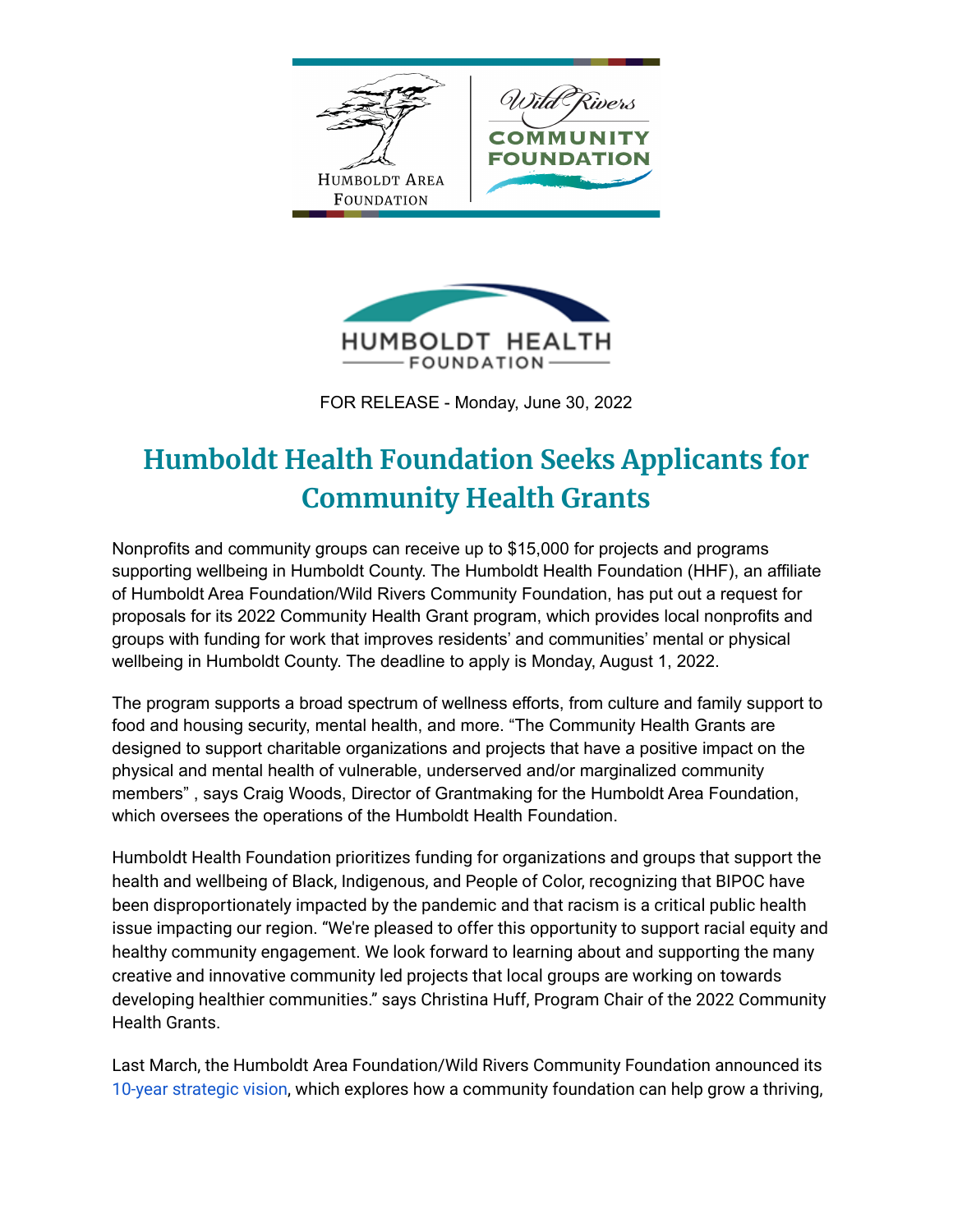



FOR RELEASE - Monday, June 30, 2022

## **Humboldt Health Foundation Seeks Applicants for Community Health Grants**

Nonprofits and community groups can receive up to \$15,000 for projects and programs supporting wellbeing in Humboldt County. The Humboldt Health Foundation (HHF), an affiliate of Humboldt Area Foundation/Wild Rivers Community Foundation, has put out a request for proposals for its 2022 Community Health Grant program, which provides local nonprofits and groups with funding for work that improves residents' and communities' mental or physical wellbeing in Humboldt County. The deadline to apply is Monday, August 1, 2022.

The program supports a broad spectrum of wellness efforts, from culture and family support to food and housing security, mental health, and more. "The Community Health Grants are designed to support charitable organizations and projects that have a positive impact on the physical and mental health of vulnerable, underserved and/or marginalized community members" , says Craig Woods, Director of Grantmaking for the Humboldt Area Foundation, which oversees the operations of the Humboldt Health Foundation.

Humboldt Health Foundation prioritizes funding for organizations and groups that support the health and wellbeing of Black, Indigenous, and People of Color, recognizing that BIPOC have been disproportionately impacted by the pandemic and that racism is a critical public health issue impacting our region. "We're pleased to offer this opportunity to support racial equity and healthy community engagement. We look forward to learning about and supporting the many creative and innovative community led projects that local groups are working on towards developing healthier communities." says Christina Huff, Program Chair of the 2022 Community Health Grants.

Last March, the Humboldt Area Foundation/Wild Rivers Community Foundation announced it[s](https://www.hafoundation.org/About-Us/Mission-Vision) 10-year [strategic](https://www.hafoundation.org/About-Us/Mission-Vision) vision, which explores how a community foundation can help grow a thriving,